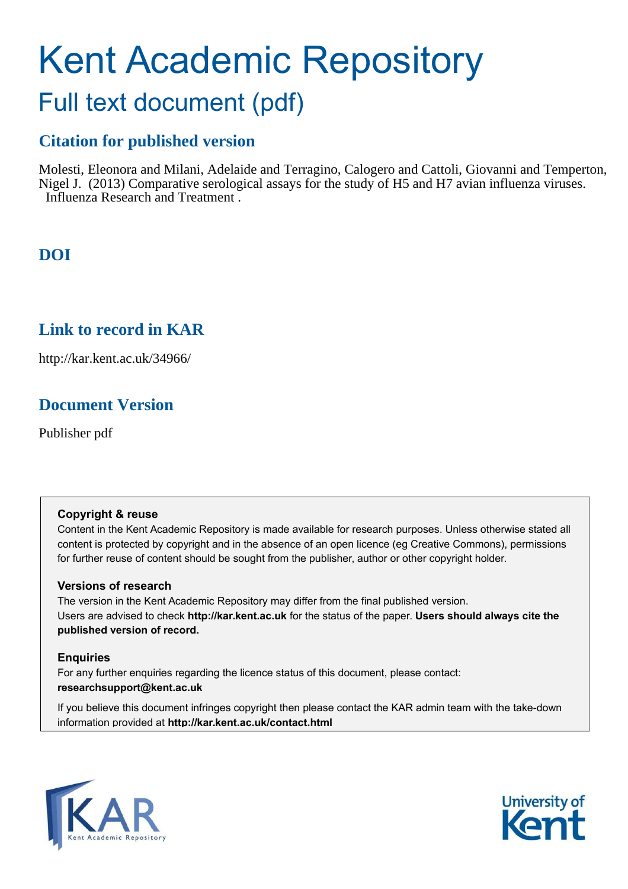# Kent Academic Repository Full text document (pdf)

## **Citation for published version**

Molesti, Eleonora and Milani, Adelaide and Terragino, Calogero and Cattoli, Giovanni and Temperton, Nigel J. (2013) Comparative serological assays for the study of H5 and H7 avian influenza viruses. Influenza Research and Treatment .

## **DOI**

### **Link to record in KAR**

http://kar.kent.ac.uk/34966/

## **Document Version**

Publisher pdf

### **Copyright & reuse**

Content in the Kent Academic Repository is made available for research purposes. Unless otherwise stated all content is protected by copyright and in the absence of an open licence (eg Creative Commons), permissions for further reuse of content should be sought from the publisher, author or other copyright holder.

### **Versions of research**

The version in the Kent Academic Repository may differ from the final published version. Users are advised to check **http://kar.kent.ac.uk** for the status of the paper. **Users should always cite the published version of record.**

### **Enquiries**

For any further enquiries regarding the licence status of this document, please contact: **researchsupport@kent.ac.uk**

If you believe this document infringes copyright then please contact the KAR admin team with the take-down information provided at **http://kar.kent.ac.uk/contact.html**



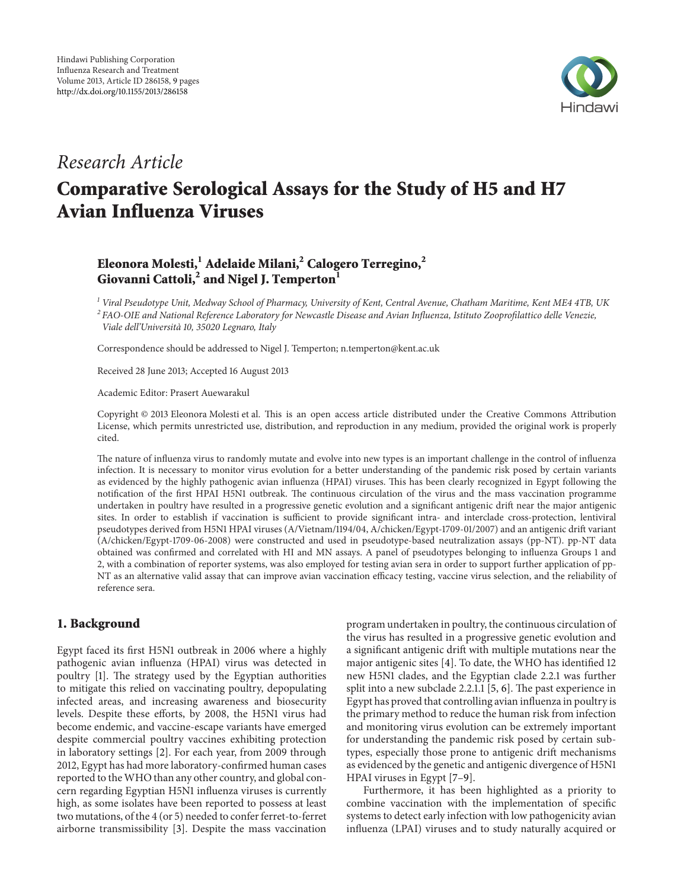

# Research Article

# Comparative Serological Assays for the Study of H5 and H7 Avian Influenza Viruses

### Eleonora Molesti,<sup>1</sup> Adelaide Milani,<sup>2</sup> Calogero Terregino,<sup>2</sup> Giovanni Cattoli,<sup>2</sup> and Nigel J. Temperton<sup>1</sup>

<sup>1</sup> Viral Pseudotype Unit, Medway School of Pharmacy, University of Kent, Central Avenue, Chatham Maritime, Kent ME4 4TB, UK  $^2$ FAO-OIE and National Reference Laboratory for Newcastle Disease and Avian Influenza, Istituto Zooprofilattico delle Venezie, Viale dell'Università 10, 35020 Legnaro, Italy

Correspondence should be addressed to Nigel J. Temperton; n.temperton@kent.ac.uk

Received 28 June 2013; Accepted 16 August 2013

Academic Editor: Prasert Auewarakul

Copyright © 2013 Eleonora Molesti et al. This is an open access article distributed under the Creative Commons Attribution License, which permits unrestricted use, distribution, and reproduction in any medium, provided the original work is properly cited.

he nature of inluenza virus to randomly mutate and evolve into new types is an important challenge in the control of inluenza infection. It is necessary to monitor virus evolution for a better understanding of the pandemic risk posed by certain variants as evidenced by the highly pathogenic avian influenza (HPAI) viruses. This has been clearly recognized in Egypt following the notification of the first HPAI H5N1 outbreak. The continuous circulation of the virus and the mass vaccination programme undertaken in poultry have resulted in a progressive genetic evolution and a signiicant antigenic drit near the major antigenic sites. In order to establish if vaccination is sufficient to provide significant intra- and interclade cross-protection, lentiviral pseudotypes derived from H5N1 HPAI viruses (A/Vietnam/1194/04, A/chicken/Egypt-1709-01/2007) and an antigenic drit variant (A/chicken/Egypt-1709-06-2008) were constructed and used in pseudotype-based neutralization assays (pp-NT). pp-NT data obtained was conirmed and correlated with HI and MN assays. A panel of pseudotypes belonging to inluenza Groups 1 and 2, with a combination of reporter systems, was also employed for testing avian sera in order to support further application of pp-NT as an alternative valid assay that can improve avian vaccination efficacy testing, vaccine virus selection, and the reliability of reference sera.

#### 1. Background

Egypt faced its first H5N1 outbreak in 2006 where a highly pathogenic avian inluenza (HPAI) virus was detected in poultry [1]. The strategy used by the Egyptian authorities to mitigate this relied on vaccinating poultry, depopulating infected areas, and increasing awareness and biosecurity levels. Despite these efforts, by 2008, the H5N1 virus had become endemic, and vaccine-escape variants have emerged despite commercial poultry vaccines exhibiting protection in laboratory settings [2]. For each year, from 2009 through 2012, Egypt has had more laboratory-confirmed human cases reported to the WHO than any other country, and global concern regarding Egyptian H5N1 inluenza viruses is currently high, as some isolates have been reported to possess at least two mutations, of the 4 (or 5) needed to confer ferret-to-ferret airborne transmissibility [3]. Despite the mass vaccination

program undertaken in poultry, the continuous circulation of the virus has resulted in a progressive genetic evolution and a significant antigenic drift with multiple mutations near the major antigenic sites  $[4]$ . To date, the WHO has identified 12 new H5N1 clades, and the Egyptian clade 2.2.1 was further split into a new subclade  $2.2.1.1$  [5, 6]. The past experience in Egypt has proved that controlling avian inluenza in poultry is the primary method to reduce the human risk from infection and monitoring virus evolution can be extremely important for understanding the pandemic risk posed by certain subtypes, especially those prone to antigenic drit mechanisms as evidenced by the genetic and antigenic divergence of H5N1 HPAI viruses in Egypt [7–9].

Furthermore, it has been highlighted as a priority to combine vaccination with the implementation of specific systems to detect early infection with low pathogenicity avian influenza (LPAI) viruses and to study naturally acquired or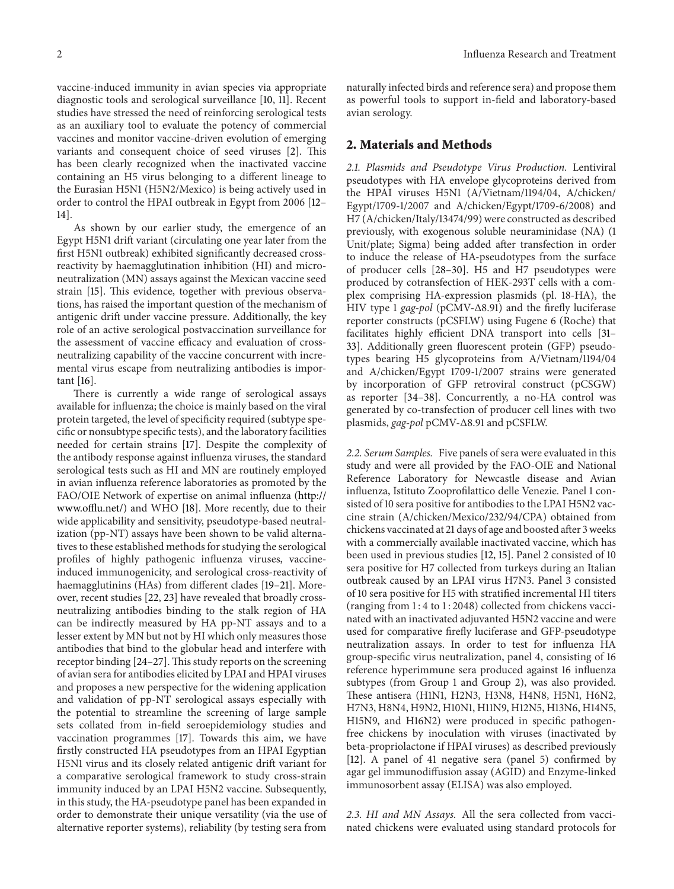vaccine-induced immunity in avian species via appropriate diagnostic tools and serological surveillance [10, 11]. Recent studies have stressed the need of reinforcing serological tests as an auxiliary tool to evaluate the potency of commercial vaccines and monitor vaccine-driven evolution of emerging variants and consequent choice of seed viruses [2]. This has been clearly recognized when the inactivated vaccine containing an H5 virus belonging to a diferent lineage to the Eurasian H5N1 (H5N2/Mexico) is being actively used in order to control the HPAI outbreak in Egypt from 2006 [12– 14].

As shown by our earlier study, the emergence of an Egypt H5N1 drift variant (circulating one year later from the first H5N1 outbreak) exhibited significantly decreased crossreactivity by haemagglutination inhibition (HI) and microneutralization (MN) assays against the Mexican vaccine seed strain [15]. This evidence, together with previous observations, has raised the important question of the mechanism of antigenic drit under vaccine pressure. Additionally, the key role of an active serological postvaccination surveillance for the assessment of vaccine efficacy and evaluation of crossneutralizing capability of the vaccine concurrent with incremental virus escape from neutralizing antibodies is important [16].

here is currently a wide range of serological assays available for inluenza; the choice is mainly based on the viral protein targeted, the level of specificity required (subtype speciic or nonsubtype speciic tests), and the laboratory facilities needed for certain strains [17]. Despite the complexity of the antibody response against inluenza viruses, the standard serological tests such as HI and MN are routinely employed in avian inluenza reference laboratories as promoted by the FAO/OIE Network of expertise on animal inluenza (http:// www.offlu.net/) and WHO [18]. More recently, due to their wide applicability and sensitivity, pseudotype-based neutralization (pp-NT) assays have been shown to be valid alternatives to these established methods for studying the serological profiles of highly pathogenic influenza viruses, vaccineinduced immunogenicity, and serological cross-reactivity of haemagglutinins (HAs) from different clades [19-21]. Moreover, recent studies [22, 23] have revealed that broadly crossneutralizing antibodies binding to the stalk region of HA can be indirectly measured by HA pp-NT assays and to a lesser extent by MN but not by HI which only measures those antibodies that bind to the globular head and interfere with receptor binding  $[24-27]$ . This study reports on the screening of avian sera for antibodies elicited by LPAI and HPAI viruses and proposes a new perspective for the widening application and validation of pp-NT serological assays especially with the potential to streamline the screening of large sample sets collated from in-field seroepidemiology studies and vaccination programmes [17]. Towards this aim, we have firstly constructed HA pseudotypes from an HPAI Egyptian H5N1 virus and its closely related antigenic drit variant for a comparative serological framework to study cross-strain immunity induced by an LPAI H5N2 vaccine. Subsequently, in this study, the HA-pseudotype panel has been expanded in order to demonstrate their unique versatility (via the use of alternative reporter systems), reliability (by testing sera from

naturally infected birds and reference sera) and propose them as powerful tools to support in-field and laboratory-based avian serology.

#### 2. Materials and Methods

2.1. Plasmids and Pseudotype Virus Production. Lentiviral pseudotypes with HA envelope glycoproteins derived from the HPAI viruses H5N1 (A/Vietnam/1194/04, A/chicken/ Egypt/1709-1/2007 and A/chicken/Egypt/1709-6/2008) and H7 (A/chicken/Italy/13474/99) were constructed as described previously, with exogenous soluble neuraminidase (NA) (1 Unit/plate; Sigma) being added ater transfection in order to induce the release of HA-pseudotypes from the surface of producer cells [28–30]. H5 and H7 pseudotypes were produced by cotransfection of HEK-293T cells with a complex comprising HA-expression plasmids (pl. 18-HA), the HIV type 1 gag-pol (pCMV-Δ8.91) and the firefly luciferase reporter constructs (pCSFLW) using Fugene 6 (Roche) that facilitates highly efficient DNA transport into cells [31-33]. Additionally green fluorescent protein (GFP) pseudotypes bearing H5 glycoproteins from A/Vietnam/1194/04 and A/chicken/Egypt 1709-1/2007 strains were generated by incorporation of GFP retroviral construct (pCSGW) as reporter [34–38]. Concurrently, a no-HA control was generated by co-transfection of producer cell lines with two plasmids, gag-pol pCMV-Δ8.91 and pCSFLW.

2.2. Serum Samples. Five panels of sera were evaluated in this study and were all provided by the FAO-OIE and National Reference Laboratory for Newcastle disease and Avian influenza, Istituto Zooprofilattico delle Venezie. Panel 1 consisted of 10 sera positive for antibodies to the LPAI H5N2 vaccine strain (A/chicken/Mexico/232/94/CPA) obtained from chickens vaccinated at 21 days of age and boosted ater 3 weeks with a commercially available inactivated vaccine, which has been used in previous studies [12, 15]. Panel 2 consisted of 10 sera positive for H7 collected from turkeys during an Italian outbreak caused by an LPAI virus H7N3. Panel 3 consisted of 10 sera positive for H5 with stratified incremental HI titers (ranging from 1 : 4 to 1 : 2048) collected from chickens vaccinated with an inactivated adjuvanted H5N2 vaccine and were used for comparative firefly luciferase and GFP-pseudotype neutralization assays. In order to test for inluenza HA group-speciic virus neutralization, panel 4, consisting of 16 reference hyperimmune sera produced against 16 inluenza subtypes (from Group 1 and Group 2), was also provided. hese antisera (H1N1, H2N3, H3N8, H4N8, H5N1, H6N2, H7N3, H8N4, H9N2, H10N1, H11N9, H12N5, H13N6, H14N5, H15N9, and H16N2) were produced in specific pathogenfree chickens by inoculation with viruses (inactivated by beta-propriolactone if HPAI viruses) as described previously [12]. A panel of 41 negative sera (panel 5) confirmed by agar gel immunodifusion assay (AGID) and Enzyme-linked immunosorbent assay (ELISA) was also employed.

2.3. HI and MN Assays. All the sera collected from vaccinated chickens were evaluated using standard protocols for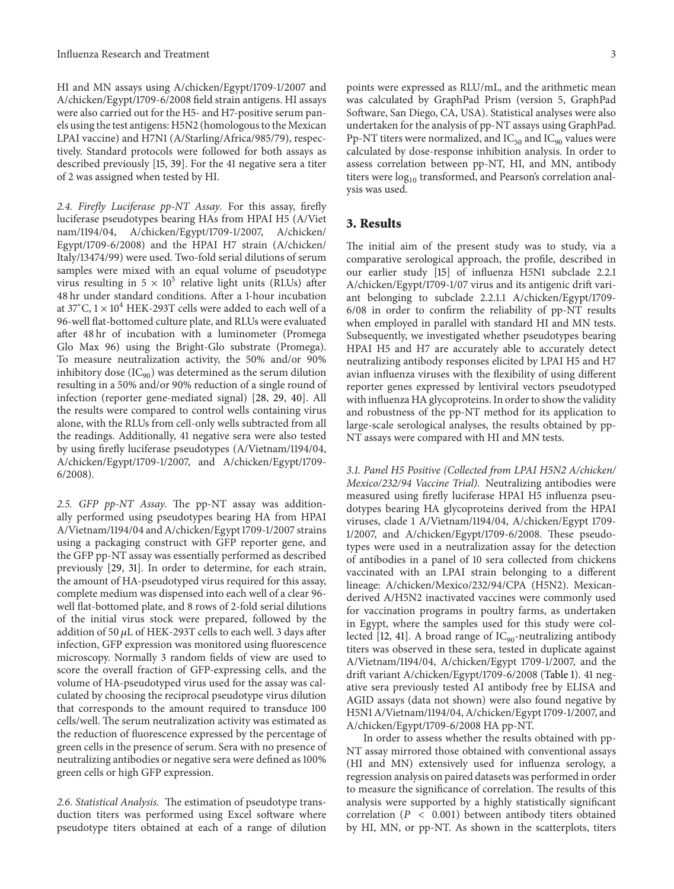HI and MN assays using A/chicken/Egypt/1709-1/2007 and A/chicken/Egypt/1709-6/2008 field strain antigens. HI assays were also carried out for the H5- and H7-positive serum panels using the test antigens: H5N2 (homologous to the Mexican LPAI vaccine) and H7N1 (A/Starling/Africa/985/79), respectively. Standard protocols were followed for both assays as described previously [15, 39]. For the 41 negative sera a titer of 2 was assigned when tested by HI.

2.4. Firefly Luciferase pp-NT Assay. For this assay, firefly luciferase pseudotypes bearing HAs from HPAI H5 (A/Viet nam/1194/04, A/chicken/Egypt/1709-1/2007, A/chicken/ Egypt/1709-6/2008) and the HPAI H7 strain (A/chicken/ Italy/13474/99) were used. Two-fold serial dilutions of serum samples were mixed with an equal volume of pseudotype virus resulting in  $5 \times 10^5$  relative light units (RLUs) after 48 hr under standard conditions. Ater a 1-hour incubation at 37°C,  $1 \times 10^4$  HEK-293T cells were added to each well of a 96-well flat-bottomed culture plate, and RLUs were evaluated ater 48 hr of incubation with a luminometer (Promega Glo Max 96) using the Bright-Glo substrate (Promega). To measure neutralization activity, the 50% and/or 90% inhibitory dose  $(IC_{90})$  was determined as the serum dilution resulting in a 50% and/or 90% reduction of a single round of infection (reporter gene-mediated signal) [28, 29, 40]. All the results were compared to control wells containing virus alone, with the RLUs from cell-only wells subtracted from all the readings. Additionally, 41 negative sera were also tested by using firefly luciferase pseudotypes (A/Vietnam/1194/04, A/chicken/Egypt/1709-1/2007, and A/chicken/Egypt/1709- 6/2008).

2.5. GFP pp-NT Assay. The pp-NT assay was additionally performed using pseudotypes bearing HA from HPAI A/Vietnam/1194/04 and A/chicken/Egypt 1709-1/2007 strains using a packaging construct with GFP reporter gene, and the GFP pp-NT assay was essentially performed as described previously [29, 31]. In order to determine, for each strain, the amount of HA-pseudotyped virus required for this assay, complete medium was dispensed into each well of a clear 96 well flat-bottomed plate, and 8 rows of 2-fold serial dilutions of the initial virus stock were prepared, followed by the addition of 50  $\mu$ L of HEK-293T cells to each well. 3 days after infection, GFP expression was monitored using luorescence microscopy. Normally 3 random fields of view are used to score the overall fraction of GFP-expressing cells, and the volume of HA-pseudotyped virus used for the assay was calculated by choosing the reciprocal pseudotype virus dilution that corresponds to the amount required to transduce 100 cells/well. The serum neutralization activity was estimated as the reduction of luorescence expressed by the percentage of green cells in the presence of serum. Sera with no presence of neutralizing antibodies or negative sera were defined as 100% green cells or high GFP expression.

2.6. Statistical Analysis. The estimation of pseudotype transduction titers was performed using Excel sotware where pseudotype titers obtained at each of a range of dilution points were expressed as RLU/mL, and the arithmetic mean was calculated by GraphPad Prism (version 5, GraphPad Sotware, San Diego, CA, USA). Statistical analyses were also undertaken for the analysis of pp-NT assays using GraphPad. Pp-NT titers were normalized, and  $IC_{50}$  and  $IC_{90}$  values were calculated by dose-response inhibition analysis. In order to assess correlation between pp-NT, HI, and MN, antibody titers were  $log_{10}$  transformed, and Pearson's correlation analysis was used.

#### 3. Results

he initial aim of the present study was to study, via a comparative serological approach, the profile, described in our earlier study [15] of inluenza H5N1 subclade 2.2.1 A/chicken/Egypt/1709-1/07 virus and its antigenic drift variant belonging to subclade 2.2.1.1 A/chicken/Egypt/1709-  $6/08$  in order to confirm the reliability of  $pp-NT$  results when employed in parallel with standard HI and MN tests. Subsequently, we investigated whether pseudotypes bearing HPAI H5 and H7 are accurately able to accurately detect neutralizing antibody responses elicited by LPAI H5 and H7 avian inluenza viruses with the lexibility of using diferent reporter genes expressed by lentiviral vectors pseudotyped with influenza HA glycoproteins. In order to show the validity and robustness of the pp-NT method for its application to large-scale serological analyses, the results obtained by pp-NT assays were compared with HI and MN tests.

3.1. Panel H5 Positive (Collected from LPAI H5N2 A/chicken/ Mexico/232/94 Vaccine Trial). Neutralizing antibodies were measured using firefly luciferase HPAI H5 influenza pseudotypes bearing HA glycoproteins derived from the HPAI viruses, clade 1 A/Vietnam/1194/04, A/chicken/Egypt 1709- 1/2007, and A/chicken/Egypt/1709-6/2008. These pseudotypes were used in a neutralization assay for the detection of antibodies in a panel of 10 sera collected from chickens vaccinated with an LPAI strain belonging to a diferent lineage: A/chicken/Mexico/232/94/CPA (H5N2). Mexicanderived A/H5N2 inactivated vaccines were commonly used for vaccination programs in poultry farms, as undertaken in Egypt, where the samples used for this study were collected [12, 41]. A broad range of  $IC_{90}$ -neutralizing antibody titers was observed in these sera, tested in duplicate against A/Vietnam/1194/04, A/chicken/Egypt 1709-1/2007, and the drit variant A/chicken/Egypt/1709-6/2008 (Table 1). 41 negative sera previously tested AI antibody free by ELISA and AGID assays (data not shown) were also found negative by H5N1 A/Vietnam/1194/04, A/chicken/Egypt 1709-1/2007, and A/chicken/Egypt/1709-6/2008 HA pp-NT.

In order to assess whether the results obtained with pp-NT assay mirrored those obtained with conventional assays (HI and MN) extensively used for inluenza serology, a regression analysis on paired datasets was performed in order to measure the significance of correlation. The results of this analysis were supported by a highly statistically significant correlation ( $P < 0.001$ ) between antibody titers obtained by HI, MN, or pp-NT. As shown in the scatterplots, titers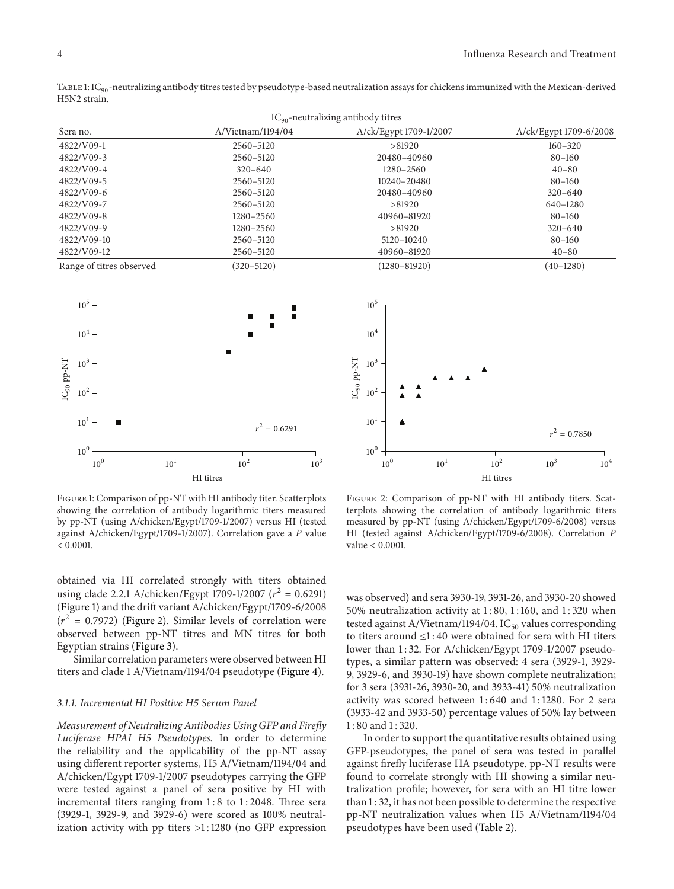| $IC_{90}$ -neutralizing antibody titres |                   |                        |                        |  |  |  |
|-----------------------------------------|-------------------|------------------------|------------------------|--|--|--|
| Sera no.                                | A/Vietnam/1194/04 | A/ck/Egypt 1709-1/2007 | A/ck/Egypt 1709-6/2008 |  |  |  |
| 4822/V09-1                              | 2560-5120         | >81920                 | $160 - 320$            |  |  |  |
| 4822/V09-3                              | 2560-5120         | 20480-40960            | $80 - 160$             |  |  |  |
| 4822/V09-4                              | $320 - 640$       | 1280-2560              | $40 - 80$              |  |  |  |
| 4822/V09-5                              | 2560-5120         | $10240 - 20480$        | $80 - 160$             |  |  |  |
| 4822/V09-6                              | 2560-5120         | 20480-40960            | $320 - 640$            |  |  |  |
| 4822/V09-7                              | 2560-5120         | >81920                 | 640-1280               |  |  |  |
| 4822/V09-8                              | $1280 - 2560$     | 40960-81920            | $80 - 160$             |  |  |  |
| 4822/V09-9                              | 1280-2560         | >81920                 | $320 - 640$            |  |  |  |
| 4822/V09-10                             | 2560-5120         | 5120-10240             | $80 - 160$             |  |  |  |
| 4822/V09-12                             | 2560-5120         | 40960-81920            | $40 - 80$              |  |  |  |
| Range of titres observed                | $(320 - 5120)$    | $(1280 - 81920)$       | $(40 - 1280)$          |  |  |  |

TABLE 1:  $IC_{90}$ -neutralizing antibody titres tested by pseudotype-based neutralization assays for chickens immunized with the Mexican-derived H5N2 strain.



Figure 1: Comparison of pp-NT with HI antibody titer. Scatterplots showing the correlation of antibody logarithmic titers measured by pp-NT (using A/chicken/Egypt/1709-1/2007) versus HI (tested against A/chicken/Egypt/1709-1/2007). Correlation gave a P value  $< 0.0001$ .

obtained via HI correlated strongly with titers obtained using clade 2.2.1 A/chicken/Egypt 1709-1/2007 ( $r^2 = 0.6291$ ) (Figure 1) and the drit variant A/chicken/Egypt/1709-6/2008  $(r^2 = 0.7972)$  (Figure 2). Similar levels of correlation were observed between pp-NT titres and MN titres for both Egyptian strains (Figure 3).

Similar correlation parameters were observed between HI titers and clade 1 A/Vietnam/1194/04 pseudotype (Figure 4).

#### 3.1.1. Incremental HI Positive H5 Serum Panel

Measurement of Neutralizing Antibodies Using GFP and Firely Luciferase HPAI H5 Pseudotypes. In order to determine the reliability and the applicability of the pp-NT assay using diferent reporter systems, H5 A/Vietnam/1194/04 and A/chicken/Egypt 1709-1/2007 pseudotypes carrying the GFP were tested against a panel of sera positive by HI with incremental titers ranging from  $1:8$  to  $1:2048$ . Three sera (3929-1, 3929-9, and 3929-6) were scored as 100% neutralization activity with pp titers >1 : 1280 (no GFP expression



Figure 2: Comparison of pp-NT with HI antibody titers. Scatterplots showing the correlation of antibody logarithmic titers measured by pp-NT (using A/chicken/Egypt/1709-6/2008) versus HI (tested against A/chicken/Egypt/1709-6/2008). Correlation P value < 0.0001.

was observed) and sera 3930-19, 3931-26, and 3930-20 showed 50% neutralization activity at 1 : 80, 1 : 160, and 1 : 320 when tested against A/Vietnam/1194/04.  $IC_{50}$  values corresponding to titers around ≤1 : 40 were obtained for sera with HI titers lower than 1:32. For A/chicken/Egypt 1709-1/2007 pseudotypes, a similar pattern was observed: 4 sera (3929-1, 3929- 9, 3929-6, and 3930-19) have shown complete neutralization; for 3 sera (3931-26, 3930-20, and 3933-41) 50% neutralization activity was scored between 1:640 and 1:1280. For 2 sera (3933-42 and 3933-50) percentage values of 50% lay between 1 : 80 and 1 : 320.

In order to support the quantitative results obtained using GFP-pseudotypes, the panel of sera was tested in parallel against firefly luciferase HA pseudotype. pp-NT results were found to correlate strongly with HI showing a similar neutralization profile; however, for sera with an HI titre lower than 1 : 32, it has not been possible to determine the respective pp-NT neutralization values when H5 A/Vietnam/1194/04 pseudotypes have been used (Table 2).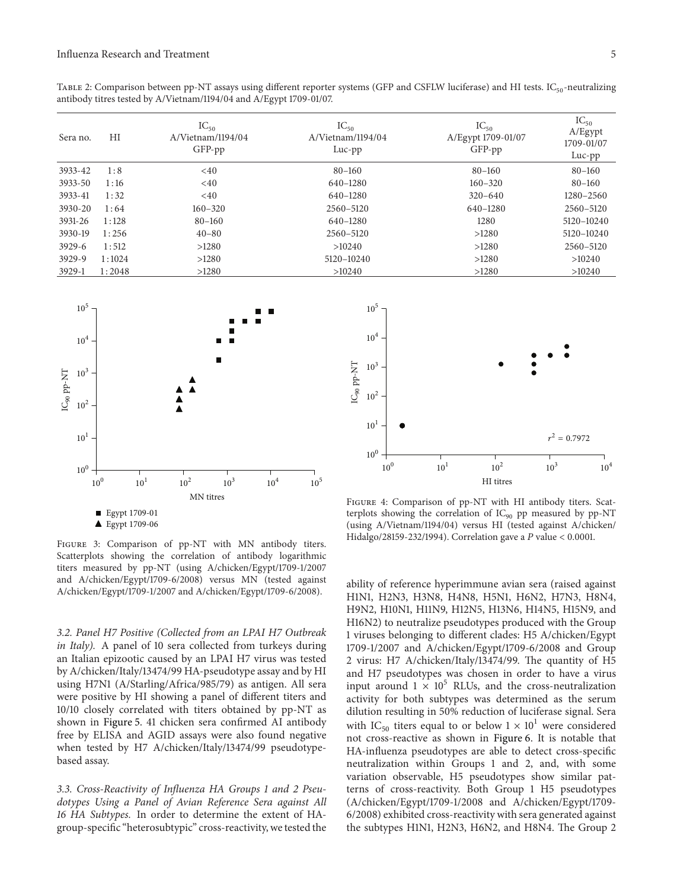TABLE 2: Comparison between pp-NT assays using different reporter systems (GFP and CSFLW luciferase) and HI tests.  $IC_{50}$ -neutralizing antibody titres tested by A/Vietnam/1194/04 and A/Egypt 1709-01/07.

| Sera no. | HI     | $IC_{50}$<br>A/Vietnam/1194/04<br>GFP-pp | $IC_{50}$<br>A/Vietnam/1194/04<br>$Luc$ -pp | $IC_{50}$<br>A/Egypt 1709-01/07<br>GFP-pp | $IC_{50}$<br>A/Egypt<br>1709-01/07<br>Luc-pp |
|----------|--------|------------------------------------------|---------------------------------------------|-------------------------------------------|----------------------------------------------|
| 3933-42  | 1:8    | <40                                      | $80 - 160$                                  | $80 - 160$                                | $80 - 160$                                   |
| 3933-50  | 1:16   | $<$ 40                                   | 640-1280                                    | $160 - 320$                               | $80 - 160$                                   |
| 3933-41  | 1:32   | <40                                      | 640-1280                                    | $320 - 640$                               | 1280-2560                                    |
| 3930-20  | 1:64   | $160 - 320$                              | 2560-5120                                   | 640-1280                                  | 2560-5120                                    |
| 3931-26  | 1:128  | $80 - 160$                               | 640-1280                                    | 1280                                      | 5120-10240                                   |
| 3930-19  | 1:256  | $40 - 80$                                | 2560-5120                                   | >1280                                     | 5120-10240                                   |
| $3929-6$ | 1:512  | >1280                                    | >10240                                      | >1280                                     | 2560-5120                                    |
| 3929-9   | 1:1024 | >1280                                    | 5120-10240                                  | >1280                                     | >10240                                       |
| $3929-1$ | 1:2048 | >1280                                    | >10240                                      | >1280                                     | >10240                                       |



Figure 3: Comparison of pp-NT with MN antibody titers. Scatterplots showing the correlation of antibody logarithmic titers measured by pp-NT (using A/chicken/Egypt/1709-1/2007 and A/chicken/Egypt/1709-6/2008) versus MN (tested against A/chicken/Egypt/1709-1/2007 and A/chicken/Egypt/1709-6/2008).

3.2. Panel H7 Positive (Collected from an LPAI H7 Outbreak in Italy). A panel of 10 sera collected from turkeys during an Italian epizootic caused by an LPAI H7 virus was tested by A/chicken/Italy/13474/99 HA-pseudotype assay and by HI using H7N1 (A/Starling/Africa/985/79) as antigen. All sera were positive by HI showing a panel of diferent titers and 10/10 closely correlated with titers obtained by pp-NT as shown in Figure 5. 41 chicken sera confirmed AI antibody free by ELISA and AGID assays were also found negative when tested by H7 A/chicken/Italy/13474/99 pseudotypebased assay.

3.3. Cross-Reactivity of Influenza HA Groups 1 and 2 Pseudotypes Using a Panel of Avian Reference Sera against All 16 HA Subtypes. In order to determine the extent of HAgroup-speciic "heterosubtypic" cross-reactivity, we tested the ability of reference hyperimmune avian sera (raised against H1N1, H2N3, H3N8, H4N8, H5N1, H6N2, H7N3, H8N4, H9N2, H10N1, H11N9, H12N5, H13N6, H14N5, H15N9, and H16N2) to neutralize pseudotypes produced with the Group 1 viruses belonging to diferent clades: H5 A/chicken/Egypt 1709-1/2007 and A/chicken/Egypt/1709-6/2008 and Group 2 virus: H7 A/chicken/Italy/13474/99. The quantity of H5 and H7 pseudotypes was chosen in order to have a virus input around  $1 \times 10^5$  RLUs, and the cross-neutralization activity for both subtypes was determined as the serum dilution resulting in 50% reduction of luciferase signal. Sera with IC<sub>50</sub> titers equal to or below  $1 \times 10^1$  were considered not cross-reactive as shown in Figure 6. It is notable that HA-influenza pseudotypes are able to detect cross-specific neutralization within Groups 1 and 2, and, with some variation observable, H5 pseudotypes show similar patterns of cross-reactivity. Both Group 1 H5 pseudotypes (A/chicken/Egypt/1709-1/2008 and A/chicken/Egypt/1709- 6/2008) exhibited cross-reactivity with sera generated against the subtypes H1N1, H2N3, H6N2, and H8N4. The Group 2



Figure 4: Comparison of pp-NT with HI antibody titers. Scatterplots showing the correlation of IC<sub>90</sub> pp measured by pp-NT (using A/Vietnam/1194/04) versus HI (tested against A/chicken/ Hidalgo/28159-232/1994). Correlation gave a  $P$  value < 0.0001.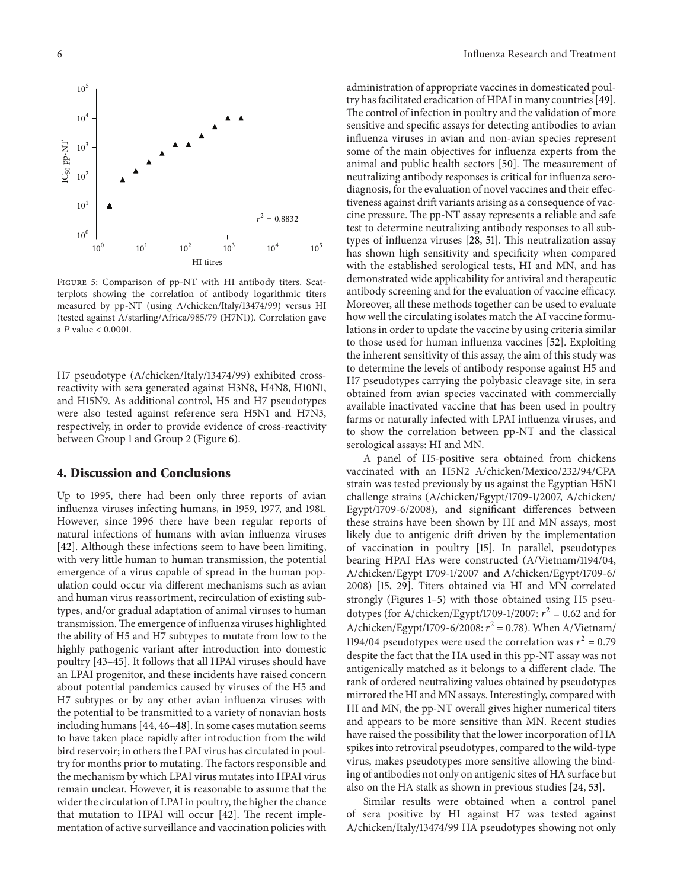

Figure 5: Comparison of pp-NT with HI antibody titers. Scatterplots showing the correlation of antibody logarithmic titers measured by pp-NT (using A/chicken/Italy/13474/99) versus HI (tested against A/starling/Africa/985/79 (H7N1)). Correlation gave a  $P$  value  $< 0.0001$ .

H7 pseudotype (A/chicken/Italy/13474/99) exhibited crossreactivity with sera generated against H3N8, H4N8, H10N1, and H15N9. As additional control, H5 and H7 pseudotypes were also tested against reference sera H5N1 and H7N3, respectively, in order to provide evidence of cross-reactivity between Group 1 and Group 2 (Figure 6).

#### 4. Discussion and Conclusions

Up to 1995, there had been only three reports of avian inluenza viruses infecting humans, in 1959, 1977, and 1981. However, since 1996 there have been regular reports of natural infections of humans with avian inluenza viruses [42]. Although these infections seem to have been limiting, with very little human to human transmission, the potential emergence of a virus capable of spread in the human population could occur via diferent mechanisms such as avian and human virus reassortment, recirculation of existing subtypes, and/or gradual adaptation of animal viruses to human transmission. The emergence of influenza viruses highlighted the ability of H5 and H7 subtypes to mutate from low to the highly pathogenic variant after introduction into domestic poultry [43–45]. It follows that all HPAI viruses should have an LPAI progenitor, and these incidents have raised concern about potential pandemics caused by viruses of the H5 and H7 subtypes or by any other avian inluenza viruses with the potential to be transmitted to a variety of nonavian hosts including humans [44, 46–48]. In some cases mutation seems to have taken place rapidly ater introduction from the wild bird reservoir; in others the LPAI virus has circulated in poultry for months prior to mutating. The factors responsible and the mechanism by which LPAI virus mutates into HPAI virus remain unclear. However, it is reasonable to assume that the wider the circulation of LPAI in poultry, the higher the chance that mutation to HPAI will occur  $[42]$ . The recent implementation of active surveillance and vaccination policies with

administration of appropriate vaccines in domesticated poultry has facilitated eradication of HPAI in many countries [49]. The control of infection in poultry and the validation of more sensitive and specific assays for detecting antibodies to avian inluenza viruses in avian and non-avian species represent some of the main objectives for inluenza experts from the animal and public health sectors [50]. The measurement of neutralizing antibody responses is critical for inluenza serodiagnosis, for the evaluation of novel vaccines and their efectiveness against drift variants arising as a consequence of vaccine pressure. he pp-NT assay represents a reliable and safe test to determine neutralizing antibody responses to all subtypes of influenza viruses [28, 51]. This neutralization assay has shown high sensitivity and specificity when compared with the established serological tests, HI and MN, and has demonstrated wide applicability for antiviral and therapeutic antibody screening and for the evaluation of vaccine efficacy. Moreover, all these methods together can be used to evaluate how well the circulating isolates match the AI vaccine formulations in order to update the vaccine by using criteria similar to those used for human inluenza vaccines [52]. Exploiting the inherent sensitivity of this assay, the aim of this study was to determine the levels of antibody response against H5 and H7 pseudotypes carrying the polybasic cleavage site, in sera obtained from avian species vaccinated with commercially available inactivated vaccine that has been used in poultry farms or naturally infected with LPAI influenza viruses, and to show the correlation between pp-NT and the classical serological assays: HI and MN.

A panel of H5-positive sera obtained from chickens vaccinated with an H5N2 A/chicken/Mexico/232/94/CPA strain was tested previously by us against the Egyptian H5N1 challenge strains (A/chicken/Egypt/1709-1/2007, A/chicken/ Egypt/1709-6/2008), and significant differences between these strains have been shown by HI and MN assays, most likely due to antigenic drift driven by the implementation of vaccination in poultry [15]. In parallel, pseudotypes bearing HPAI HAs were constructed (A/Vietnam/1194/04, A/chicken/Egypt 1709-1/2007 and A/chicken/Egypt/1709-6/ 2008) [15, 29]. Titers obtained via HI and MN correlated strongly (Figures 1–5) with those obtained using H5 pseudotypes (for A/chicken/Egypt/1709-1/2007:  $r^2 = 0.62$  and for A/chicken/Egypt/1709-6/2008:  $r^2 = 0.78$ ). When A/Vietnam/ 1194/04 pseudotypes were used the correlation was  $r^2 = 0.79$ despite the fact that the HA used in this pp-NT assay was not antigenically matched as it belongs to a different clade. The rank of ordered neutralizing values obtained by pseudotypes mirrored the HI and MN assays. Interestingly, compared with HI and MN, the pp-NT overall gives higher numerical titers and appears to be more sensitive than MN. Recent studies have raised the possibility that the lower incorporation of HA spikes into retroviral pseudotypes, compared to the wild-type virus, makes pseudotypes more sensitive allowing the binding of antibodies not only on antigenic sites of HA surface but also on the HA stalk as shown in previous studies [24, 53].

Similar results were obtained when a control panel of sera positive by HI against H7 was tested against A/chicken/Italy/13474/99 HA pseudotypes showing not only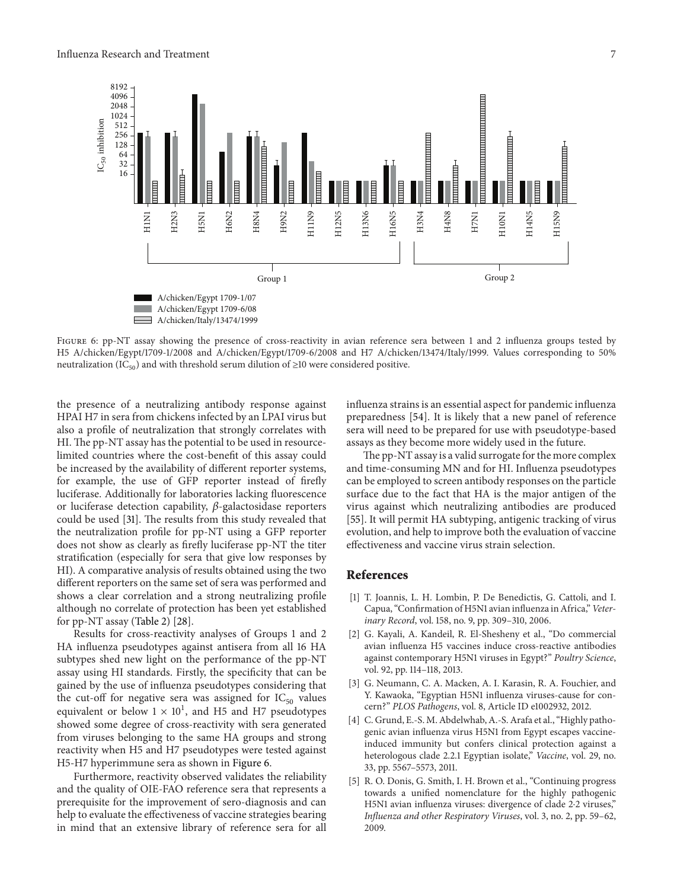

FIGURE 6: pp-NT assay showing the presence of cross-reactivity in avian reference sera between 1 and 2 influenza groups tested by H5 A/chicken/Egypt/1709-1/2008 and A/chicken/Egypt/1709-6/2008 and H7 A/chicken/13474/Italy/1999. Values corresponding to 50% neutralization (IC<sub>50</sub>) and with threshold serum dilution of  $\geq$ 10 were considered positive.

the presence of a neutralizing antibody response against HPAI H7 in sera from chickens infected by an LPAI virus but also a profile of neutralization that strongly correlates with HI. The pp-NT assay has the potential to be used in resourcelimited countries where the cost-benefit of this assay could be increased by the availability of diferent reporter systems, for example, the use of GFP reporter instead of firefly luciferase. Additionally for laboratories lacking luorescence or luciferase detection capability,  $\beta$ -galactosidase reporters could be used [31]. The results from this study revealed that the neutralization profile for pp-NT using a GFP reporter does not show as clearly as firefly luciferase pp-NT the titer stratiication (especially for sera that give low responses by HI). A comparative analysis of results obtained using the two diferent reporters on the same set of sera was performed and shows a clear correlation and a strong neutralizing profile although no correlate of protection has been yet established for pp-NT assay (Table 2) [28].

Results for cross-reactivity analyses of Groups 1 and 2 HA inluenza pseudotypes against antisera from all 16 HA subtypes shed new light on the performance of the pp-NT assay using HI standards. Firstly, the specificity that can be gained by the use of inluenza pseudotypes considering that the cut-off for negative sera was assigned for  $IC_{50}$  values equivalent or below  $1 \times 10^1$ , and H5 and H7 pseudotypes showed some degree of cross-reactivity with sera generated from viruses belonging to the same HA groups and strong reactivity when H5 and H7 pseudotypes were tested against H5-H7 hyperimmune sera as shown in Figure 6.

Furthermore, reactivity observed validates the reliability and the quality of OIE-FAO reference sera that represents a prerequisite for the improvement of sero-diagnosis and can help to evaluate the effectiveness of vaccine strategies bearing in mind that an extensive library of reference sera for all

influenza strains is an essential aspect for pandemic influenza preparedness [54]. It is likely that a new panel of reference sera will need to be prepared for use with pseudotype-based assays as they become more widely used in the future.

he pp-NT assay is a valid surrogate for the more complex and time-consuming MN and for HI. Influenza pseudotypes can be employed to screen antibody responses on the particle surface due to the fact that HA is the major antigen of the virus against which neutralizing antibodies are produced [55]. It will permit HA subtyping, antigenic tracking of virus evolution, and help to improve both the evaluation of vaccine efectiveness and vaccine virus strain selection.

#### References

- [1] T. Joannis, L. H. Lombin, P. De Benedictis, G. Cattoli, and I. Capua, "Confirmation of H5N1 avian influenza in Africa," Veterinary Record, vol. 158, no. 9, pp. 309–310, 2006.
- [2] G. Kayali, A. Kandeil, R. El-Shesheny et al., "Do commercial avian inluenza H5 vaccines induce cross-reactive antibodies against contemporary H5N1 viruses in Egypt?" Poultry Science, vol. 92, pp. 114–118, 2013.
- [3] G. Neumann, C. A. Macken, A. I. Karasin, R. A. Fouchier, and Y. Kawaoka, "Egyptian H5N1 influenza viruses-cause for concern?" PLOS Pathogens, vol. 8, Article ID e1002932, 2012.
- [4] C. Grund, E.-S. M. Abdelwhab, A.-S. Arafa et al., "Highly pathogenic avian inluenza virus H5N1 from Egypt escapes vaccineinduced immunity but confers clinical protection against a heterologous clade 2.2.1 Egyptian isolate," Vaccine, vol. 29, no. 33, pp. 5567–5573, 2011.
- [5] R. O. Donis, G. Smith, I. H. Brown et al., "Continuing progress towards a unified nomenclature for the highly pathogenic H5N1 avian influenza viruses: divergence of clade 2⋅2 viruses," Influenza and other Respiratory Viruses, vol. 3, no. 2, pp. 59-62, 2009.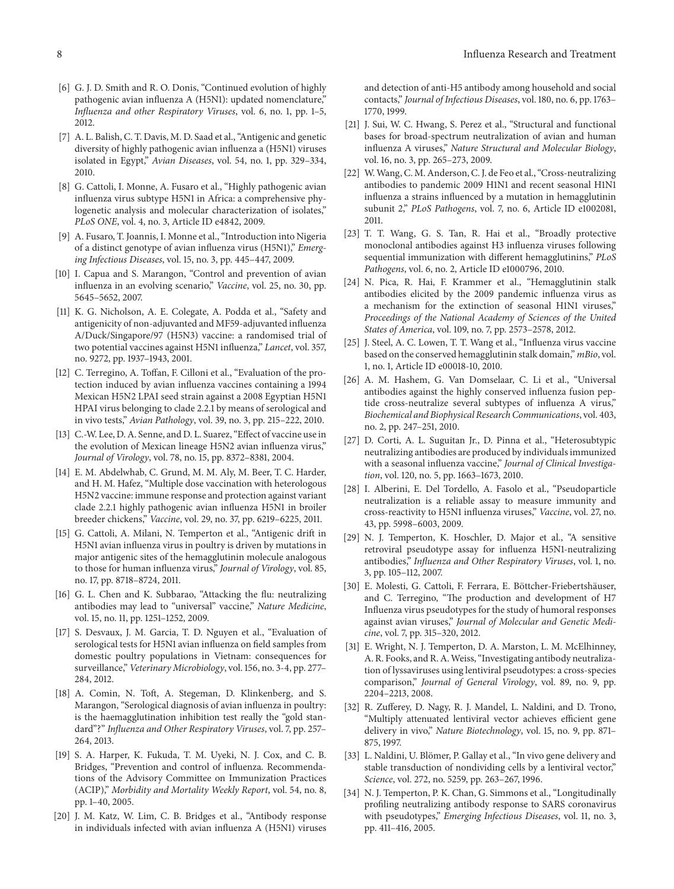- [6] G. J. D. Smith and R. O. Donis, "Continued evolution of highly pathogenic avian inluenza A (H5N1): updated nomenclature," Influenza and other Respiratory Viruses, vol. 6, no. 1, pp. 1-5, 2012.
- [7] A. L. Balish, C. T. Davis, M. D. Saad et al., "Antigenic and genetic diversity of highly pathogenic avian inluenza a (H5N1) viruses isolated in Egypt," Avian Diseases, vol. 54, no. 1, pp. 329–334, 2010.
- [8] G. Cattoli, I. Monne, A. Fusaro et al., "Highly pathogenic avian inluenza virus subtype H5N1 in Africa: a comprehensive phylogenetic analysis and molecular characterization of isolates," PLoS ONE, vol. 4, no. 3, Article ID e4842, 2009.
- [9] A. Fusaro, T. Joannis, I. Monne et al., "Introduction into Nigeria of a distinct genotype of avian influenza virus (H5N1)," Emerging Infectious Diseases, vol. 15, no. 3, pp. 445–447, 2009.
- [10] I. Capua and S. Marangon, "Control and prevention of avian influenza in an evolving scenario," Vaccine, vol. 25, no. 30, pp. 5645–5652, 2007.
- [11] K. G. Nicholson, A. E. Colegate, A. Podda et al., "Safety and antigenicity of non-adjuvanted and MF59-adjuvanted inluenza A/Duck/Singapore/97 (H5N3) vaccine: a randomised trial of two potential vaccines against H5N1 influenza," Lancet, vol. 357, no. 9272, pp. 1937–1943, 2001.
- [12] C. Terregino, A. Toffan, F. Cilloni et al., "Evaluation of the protection induced by avian inluenza vaccines containing a 1994 Mexican H5N2 LPAI seed strain against a 2008 Egyptian H5N1 HPAI virus belonging to clade 2.2.1 by means of serological and in vivo tests," Avian Pathology, vol. 39, no. 3, pp. 215–222, 2010.
- [13] C.-W. Lee, D. A. Senne, and D. L. Suarez, "Effect of vaccine use in the evolution of Mexican lineage H5N2 avian influenza virus," Journal of Virology, vol. 78, no. 15, pp. 8372–8381, 2004.
- [14] E. M. Abdelwhab, C. Grund, M. M. Aly, M. Beer, T. C. Harder, and H. M. Hafez, "Multiple dose vaccination with heterologous H5N2 vaccine: immune response and protection against variant clade 2.2.1 highly pathogenic avian inluenza H5N1 in broiler breeder chickens," Vaccine, vol. 29, no. 37, pp. 6219–6225, 2011.
- [15] G. Cattoli, A. Milani, N. Temperton et al., "Antigenic drift in H5N1 avian inluenza virus in poultry is driven by mutations in major antigenic sites of the hemagglutinin molecule analogous to those for human inluenza virus," Journal of Virology, vol. 85, no. 17, pp. 8718–8724, 2011.
- [16] G. L. Chen and K. Subbarao, "Attacking the flu: neutralizing antibodies may lead to "universal" vaccine," Nature Medicine, vol. 15, no. 11, pp. 1251–1252, 2009.
- [17] S. Desvaux, J. M. Garcia, T. D. Nguyen et al., "Evaluation of serological tests for H5N1 avian influenza on field samples from domestic poultry populations in Vietnam: consequences for surveillance," Veterinary Microbiology, vol. 156, no. 3-4, pp. 277-284, 2012.
- [18] A. Comin, N. Toft, A. Stegeman, D. Klinkenberg, and S. Marangon, "Serological diagnosis of avian inluenza in poultry: is the haemagglutination inhibition test really the "gold standard"?" Influenza and Other Respiratory Viruses, vol. 7, pp. 257-264, 2013.
- [19] S. A. Harper, K. Fukuda, T. M. Uyeki, N. J. Cox, and C. B. Bridges, "Prevention and control of inluenza. Recommendations of the Advisory Committee on Immunization Practices (ACIP)," Morbidity and Mortality Weekly Report, vol. 54, no. 8, pp. 1–40, 2005.
- [20] J. M. Katz, W. Lim, C. B. Bridges et al., "Antibody response in individuals infected with avian inluenza A (H5N1) viruses

and detection of anti-H5 antibody among household and social contacts," Journal of Infectious Diseases, vol. 180, no. 6, pp. 1763– 1770, 1999.

- [21] J. Sui, W. C. Hwang, S. Perez et al., "Structural and functional bases for broad-spectrum neutralization of avian and human inluenza A viruses," Nature Structural and Molecular Biology, vol. 16, no. 3, pp. 265–273, 2009.
- [22] W.Wang, C. M. Anderson, C. J. de Feo et al., "Cross-neutralizing antibodies to pandemic 2009 H1N1 and recent seasonal H1N1 inluenza a strains inluenced by a mutation in hemagglutinin subunit 2," PLoS Pathogens, vol. 7, no. 6, Article ID e1002081, 2011.
- [23] T. T. Wang, G. S. Tan, R. Hai et al., "Broadly protective monoclonal antibodies against H3 inluenza viruses following sequential immunization with different hemagglutinins," PLoS Pathogens, vol. 6, no. 2, Article ID e1000796, 2010.
- [24] N. Pica, R. Hai, F. Krammer et al., "Hemagglutinin stalk antibodies elicited by the 2009 pandemic inluenza virus as a mechanism for the extinction of seasonal H1N1 viruses," Proceedings of the National Academy of Sciences of the United States of America, vol. 109, no. 7, pp. 2573–2578, 2012.
- [25] J. Steel, A. C. Lowen, T. T. Wang et al., "Influenza virus vaccine based on the conserved hemagglutinin stalk domain," mBio, vol. 1, no. 1, Article ID e00018-10, 2010.
- [26] A. M. Hashem, G. Van Domselaar, C. Li et al., "Universal antibodies against the highly conserved inluenza fusion peptide cross-neutralize several subtypes of inluenza A virus," Biochemical and Biophysical Research Communications, vol. 403, no. 2, pp. 247–251, 2010.
- [27] D. Corti, A. L. Suguitan Jr., D. Pinna et al., "Heterosubtypic neutralizing antibodies are produced by individuals immunized with a seasonal influenza vaccine," Journal of Clinical Investigation, vol. 120, no. 5, pp. 1663–1673, 2010.
- [28] I. Alberini, E. Del Tordello, A. Fasolo et al., "Pseudoparticle neutralization is a reliable assay to measure immunity and cross-reactivity to H5N1 inluenza viruses," Vaccine, vol. 27, no. 43, pp. 5998–6003, 2009.
- [29] N. J. Temperton, K. Hoschler, D. Major et al., "A sensitive retroviral pseudotype assay for inluenza H5N1-neutralizing antibodies," Influenza and Other Respiratory Viruses, vol. 1, no. 3, pp. 105–112, 2007.
- [30] E. Molesti, G. Cattoli, F. Ferrara, E. Böttcher-Friebertshäuser, and C. Terregino, "The production and development of H7 Inluenza virus pseudotypes for the study of humoral responses against avian viruses," Journal of Molecular and Genetic Medicine, vol. 7, pp. 315–320, 2012.
- [31] E. Wright, N. J. Temperton, D. A. Marston, L. M. McElhinney, A. R. Fooks, and R. A.Weiss, "Investigating antibody neutralization of lyssaviruses using lentiviral pseudotypes: a cross-species comparison," Journal of General Virology, vol. 89, no. 9, pp. 2204–2213, 2008.
- [32] R. Zuferey, D. Nagy, R. J. Mandel, L. Naldini, and D. Trono, "Multiply attenuated lentiviral vector achieves efficient gene delivery in vivo," Nature Biotechnology, vol. 15, no. 9, pp. 871– 875, 1997.
- [33] L. Naldini, U. Blömer, P. Gallay et al., "In vivo gene delivery and stable transduction of nondividing cells by a lentiviral vector," Science, vol. 272, no. 5259, pp. 263–267, 1996.
- [34] N. J. Temperton, P. K. Chan, G. Simmons et al., "Longitudinally profiling neutralizing antibody response to SARS coronavirus with pseudotypes," Emerging Infectious Diseases, vol. 11, no. 3, pp. 411–416, 2005.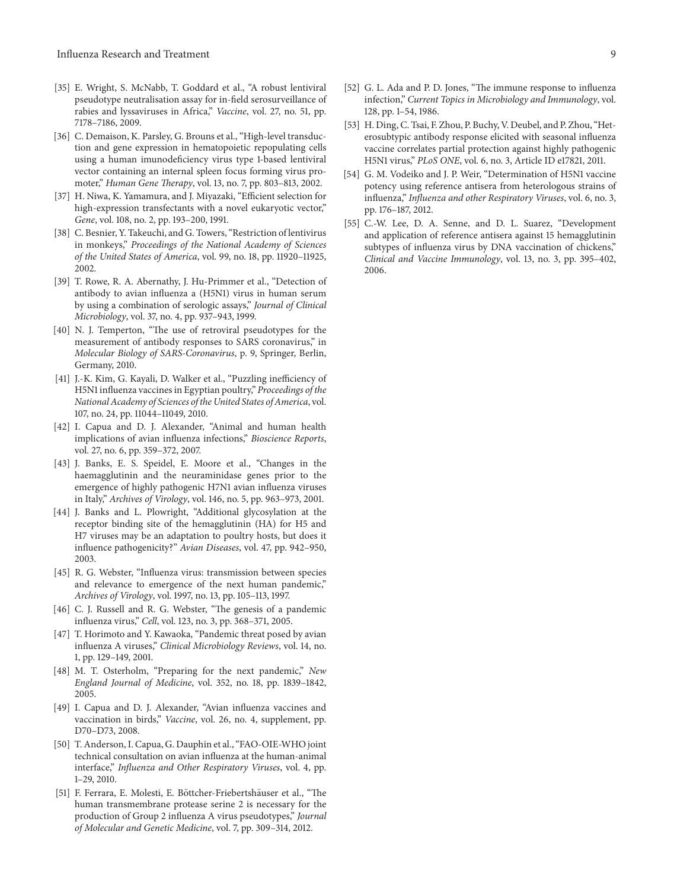- [35] E. Wright, S. McNabb, T. Goddard et al., "A robust lentiviral pseudotype neutralisation assay for in-field serosurveillance of rabies and lyssaviruses in Africa," Vaccine, vol. 27, no. 51, pp. 7178–7186, 2009.
- [36] C. Demaison, K. Parsley, G. Brouns et al., "High-level transduction and gene expression in hematopoietic repopulating cells using a human imunodeficiency virus type 1-based lentiviral vector containing an internal spleen focus forming virus promoter," Human Gene Therapy, vol. 13, no. 7, pp. 803-813, 2002.
- [37] H. Niwa, K. Yamamura, and J. Miyazaki, "Efficient selection for high-expression transfectants with a novel eukaryotic vector," Gene, vol. 108, no. 2, pp. 193–200, 1991.
- [38] C. Besnier, Y. Takeuchi, and G. Towers, "Restriction of lentivirus in monkeys," Proceedings of the National Academy of Sciences of the United States of America, vol. 99, no. 18, pp. 11920–11925, 2002.
- [39] T. Rowe, R. A. Abernathy, J. Hu-Primmer et al., "Detection of antibody to avian inluenza a (H5N1) virus in human serum by using a combination of serologic assays," Journal of Clinical Microbiology, vol. 37, no. 4, pp. 937–943, 1999.
- [40] N. J. Temperton, "The use of retroviral pseudotypes for the measurement of antibody responses to SARS coronavirus," in Molecular Biology of SARS-Coronavirus, p. 9, Springer, Berlin, Germany, 2010.
- [41] J.-K. Kim, G. Kayali, D. Walker et al., "Puzzling inefficiency of H5N1 influenza vaccines in Egyptian poultry," Proceedings of the National Academy of Sciences of the United States of America, vol. 107, no. 24, pp. 11044–11049, 2010.
- [42] I. Capua and D. J. Alexander, "Animal and human health implications of avian inluenza infections," Bioscience Reports, vol. 27, no. 6, pp. 359–372, 2007.
- [43] J. Banks, E. S. Speidel, E. Moore et al., "Changes in the haemagglutinin and the neuraminidase genes prior to the emergence of highly pathogenic H7N1 avian inluenza viruses in Italy," Archives of Virology, vol. 146, no. 5, pp. 963–973, 2001.
- [44] J. Banks and L. Plowright, "Additional glycosylation at the receptor binding site of the hemagglutinin (HA) for H5 and H7 viruses may be an adaptation to poultry hosts, but does it inluence pathogenicity?" Avian Diseases, vol. 47, pp. 942–950, 2003.
- [45] R. G. Webster, "Inluenza virus: transmission between species and relevance to emergence of the next human pandemic," Archives of Virology, vol. 1997, no. 13, pp. 105–113, 1997.
- [46] C. J. Russell and R. G. Webster, "The genesis of a pandemic inluenza virus," Cell, vol. 123, no. 3, pp. 368–371, 2005.
- [47] T. Horimoto and Y. Kawaoka, "Pandemic threat posed by avian inluenza A viruses," Clinical Microbiology Reviews, vol. 14, no. 1, pp. 129–149, 2001.
- [48] M. T. Osterholm, "Preparing for the next pandemic," New England Journal of Medicine, vol. 352, no. 18, pp. 1839–1842, 2005.
- [49] I. Capua and D. J. Alexander, "Avian influenza vaccines and vaccination in birds," Vaccine, vol. 26, no. 4, supplement, pp. D70–D73, 2008.
- [50] T. Anderson, I. Capua, G. Dauphin et al., "FAO-OIE-WHO joint technical consultation on avian inluenza at the human-animal interface," Influenza and Other Respiratory Viruses, vol. 4, pp. 1–29, 2010.
- [51] F. Ferrara, E. Molesti, E. Böttcher-Friebertshäuser et al., "The human transmembrane protease serine 2 is necessary for the production of Group 2 inluenza A virus pseudotypes," Journal of Molecular and Genetic Medicine, vol. 7, pp. 309–314, 2012.
- [52] G. L. Ada and P. D. Jones, "The immune response to influenza infection," Current Topics in Microbiology and Immunology, vol. 128, pp. 1–54, 1986.
- [53] H. Ding, C. Tsai, F. Zhou, P. Buchy, V. Deubel, and P. Zhou, "Heterosubtypic antibody response elicited with seasonal inluenza vaccine correlates partial protection against highly pathogenic H5N1 virus," PLoS ONE, vol. 6, no. 3, Article ID e17821, 2011.
- [54] G. M. Vodeiko and J. P. Weir, "Determination of H5N1 vaccine potency using reference antisera from heterologous strains of influenza," Influenza and other Respiratory Viruses, vol. 6, no. 3, pp. 176–187, 2012.
- [55] C.-W. Lee, D. A. Senne, and D. L. Suarez, "Development and application of reference antisera against 15 hemagglutinin subtypes of influenza virus by DNA vaccination of chickens," Clinical and Vaccine Immunology, vol. 13, no. 3, pp. 395–402, 2006.